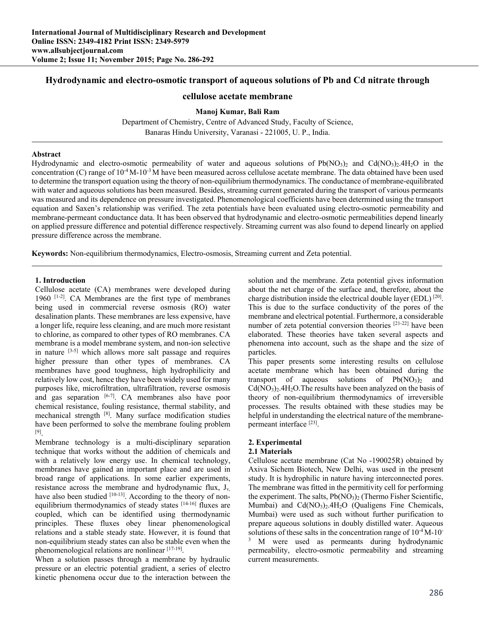# **Hydrodynamic and electro-osmotic transport of aqueous solutions of Pb and Cd nitrate through**

# **cellulose acetate membrane**

## **Manoj Kumar, Bali Ram**

Department of Chemistry, Centre of Advanced Study, Faculty of Science, Banaras Hindu University, Varanasi - 221005, U. P., India.

## **Abstract**

Hydrodynamic and electro-osmotic permeability of water and aqueous solutions of  $Pb(NO<sub>3</sub>)<sub>2</sub>$  and Cd(NO<sub>3</sub>)<sub>2</sub>.4H<sub>2</sub>O in the concentration (C) range of  $10^{-4}$  M- $10^{-3}$  M have been measured across cellulose acetate membrane. The data obtained have been used to determine the transport equation using the theory of non-equilibrium thermodynamics. The conductance of membrane-equilibrated with water and aqueous solutions has been measured. Besides, streaming current generated during the transport of various permeants was measured and its dependence on pressure investigated. Phenomenological coefficients have been determined using the transport equation and Saxen's relationship was verified. The zeta potentials have been evaluated using electro-osmotic permeability and membrane-permeant conductance data. It has been observed that hydrodynamic and electro-osmotic permeabilities depend linearly on applied pressure difference and potential difference respectively. Streaming current was also found to depend linearly on applied pressure difference across the membrane.

**Keywords:** Non-equilibrium thermodynamics, Electro-osmosis, Streaming current and Zeta potential.

### **1. Introduction**

Cellulose acetate (CA) membranes were developed during 1960 [1-2]. CA Membranes are the first type of membranes being used in commercial reverse osmosis (RO) water desalination plants. These membranes are less expensive, have a longer life, require less cleaning, and are much more resistant to chlorine, as compared to other types of RO membranes. CA membrane is a model membrane system, and non-ion selective in nature  $[3-5]$  which allows more salt passage and requires higher pressure than other types of membranes. CA membranes have good toughness, high hydrophilicity and relatively low cost, hence they have been widely used for many purposes like, microfiltration, ultrafiltration, reverse osmosis and gas separation [6-7]. CA membranes also have poor chemical resistance, fouling resistance, thermal stability, and mechanical strength [8]. Many surface modification studies have been performed to solve the membrane fouling problem [9].

Membrane technology is a multi-disciplinary separation technique that works without the addition of chemicals and with a relatively low energy use. In chemical technology, membranes have gained an important place and are used in broad range of applications. In some earlier experiments, resistance across the membrane and hydrodynamic flux,  $J_v$ have also been studied [10-13]. According to the theory of nonequilibrium thermodynamics of steady states [14-16] fluxes are coupled, which can be identified using thermodynamic principles. These fluxes obey linear phenomenological relations and a stable steady state. However, it is found that non-equilibrium steady states can also be stable even when the phenomenological relations are nonlinear [17-19].

When a solution passes through a membrane by hydraulic pressure or an electric potential gradient, a series of electro kinetic phenomena occur due to the interaction between the

solution and the membrane. Zeta potential gives information about the net charge of the surface and, therefore, about the charge distribution inside the electrical double layer (EDL) [20]. This is due to the surface conductivity of the pores of the membrane and electrical potential. Furthermore, a considerable number of zeta potential conversion theories [21-22] have been elaborated. These theories have taken several aspects and phenomena into account, such as the shape and the size of particles.

This paper presents some interesting results on cellulose acetate membrane which has been obtained during the transport of aqueous solutions of  $Pb(NO<sub>3</sub>)<sub>2</sub>$  and  $Cd(NO<sub>3</sub>)<sub>2</sub>$ .4H<sub>2</sub>O. The results have been analyzed on the basis of theory of non-equilibrium thermodynamics of irreversible processes. The results obtained with these studies may be helpful in understanding the electrical nature of the membranepermeant interface [23].

# **2. Experimental**

## **2.1 Materials**

Cellulose acetate membrane (Cat No -190025R) obtained by Axiva Sichem Biotech, New Delhi, was used in the present study. It is hydrophilic in nature having interconnected pores. The membrane was fitted in the permitivity cell for performing the experiment. The salts,  $Pb(NO<sub>3</sub>)<sub>2</sub>$  (Thermo Fisher Scientific, Mumbai) and  $Cd(NO<sub>3</sub>)<sub>2</sub>$ .4H<sub>2</sub>O (Qualigens Fine Chemicals, Mumbai) were used as such without further purification to prepare aqueous solutions in doubly distilled water. Aqueous solutions of these salts in the concentration range of  $10^{-4}$  M-10<sup>-1</sup> 3 M were used as permeants during hydrodynamic permeability, electro-osmotic permeability and streaming current measurements.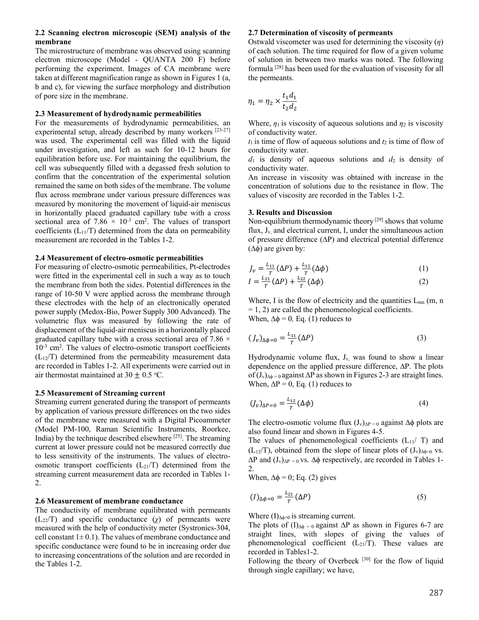## **2.2 Scanning electron microscopic (SEM) analysis of the membrane**

The microstructure of membrane was observed using scanning electron microscope (Model - QUANTA 200 F) before performing the experiment. Images of CA membrane were taken at different magnification range as shown in Figures 1 (a, b and c), for viewing the surface morphology and distribution of pore size in the membrane.

## **2.3 Measurement of hydrodynamic permeabilities**

For the measurements of hydrodynamic permeabilities, an experimental setup, already described by many workers  $[23-27]$ was used. The experimental cell was filled with the liquid under investigation, and left as such for 10-12 hours for equilibration before use. For maintaining the equilibrium, the cell was subsequently filled with a degassed fresh solution to confirm that the concentration of the experimental solution remained the same on both sides of the membrane. The volume flux across membrane under various pressure differences was measured by monitoring the movement of liquid-air meniscus in horizontally placed graduated capillary tube with a cross sectional area of  $7.86 \times 10^{-3}$  cm<sup>2</sup>. The values of transport coefficients  $(L_{11}/T)$  determined from the data on permeability measurement are recorded in the Tables 1-2.

### **2.4 Measurement of electro-osmotic permeabilities**

For measuring of electro-osmotic permeabilities, Pt-electrodes were fitted in the experimental cell in such a way as to touch the membrane from both the sides. Potential differences in the range of 10-50 V were applied across the membrane through these electrodes with the help of an electronically operated power supply (Medox-Bio, Power Supply 300 Advanced). The volumetric flux was measured by following the rate of displacement of the liquid-air meniscus in a horizontally placed graduated capillary tube with a cross sectional area of 7.86  $\times$ 10<sup>-3</sup> cm<sup>2</sup>. The values of electro-osmotic transport coefficients  $(L_{12}/T)$  determined from the permeability measurement data are recorded in Tables 1-2. All experiments were carried out in air thermostat maintained at 30  $\pm$  0.5 °C.

## **2.5 Measurement of Streaming current**

Streaming current generated during the transport of permeants by application of various pressure differences on the two sides of the membrane were measured with a Digital Picoammeter (Model PM-100, Raman Scientific Instruments, Roorkee, India) by the technique described elsewhere  $[25]$ . The streaming current at lower pressure could not be measured correctly due to less sensitivity of the instruments. The values of electroosmotic transport coefficients  $(L_{21}/T)$  determined from the streaming current measurement data are recorded in Tables 1- 2.

#### **2.6 Measurement of membrane conductance**

The conductivity of membrane equilibrated with permeants  $(L_{22}/T)$  and specific conductance  $(\chi)$  of permeants were measured with the help of conductivity meter (Systronics-304, cell constant  $1 \pm 0.1$ ). The values of membrane conductance and specific conductance were found to be in increasing order due to increasing concentrations of the solution and are recorded in the Tables 1-2.

#### **2.7 Determination of viscosity of permeants**

Ostwald viscometer was used for determining the viscosity (*η*) of each solution. The time required for flow of a given volume of solution in between two marks was noted. The following formula [28] has been used for the evaluation of viscosity for all the permeants.

$$
\eta_1 = \eta_2 \times \frac{t_1 d_1}{t_2 d_2}
$$

Where,  $\eta_1$  is viscosity of aqueous solutions and  $\eta_2$  is viscosity of conductivity water.

 $t_1$  is time of flow of aqueous solutions and  $t_2$  is time of flow of conductivity water.

 $d_1$  is density of aqueous solutions and  $d_2$  is density of conductivity water.

An increase in viscosity was obtained with increase in the concentration of solutions due to the resistance in flow. The values of viscosity are recorded in the Tables 1-2.

## **3. Results and Discussion**

Non-equilibrium thermodynamic theory [29] shows that volume flux, Jv, and electrical current, I, under the simultaneous action of pressure difference (∆P) and electrical potential difference (∆ϕ) are given by:

$$
J_{\nu} = \frac{L_{11}}{T} (\Delta P) + \frac{L_{12}}{T} (\Delta \phi)
$$
 (1)

$$
I = \frac{L_{21}}{T} (\Delta P) + \frac{L_{22}}{T} (\Delta \phi)
$$
 (2)

Where, I is the flow of electricity and the quantities  $L_{mn}$  (m, n  $= 1, 2$ ) are called the phenomenological coefficients. When,  $\Delta \phi = 0$ , Eq. (1) reduces to

$$
(J_v)_{\Delta\phi=0} = \frac{L_{11}}{T} (\Delta P) \tag{3}
$$

Hydrodynamic volume flux,  $J_v$ , was found to show a linear dependence on the applied pressure difference, ∆P. The plots of (Jv)∆ϕ *=* 0 against ∆P as shown in Figures 2-3 are straight lines. When,  $\Delta P = 0$ , Eq. (1) reduces to

$$
(4)
$$
\n
$$
(4)
$$

The electro-osmotic volume flux  $(J_v)_{\Delta P} = 0$  against  $\Delta \phi$  plots are also found linear and shown in Figures 4-5.

The values of phenomenological coefficients  $(L_{11}/T)$  and  $(L_{12}/T)$ , obtained from the slope of linear plots of  $(J_v)_{\Delta\phi=0}$  vs.  $\Delta P$  and  $(J_v)_{\Delta P} = 0$  vs.  $\Delta \phi$  respectively, are recorded in Tables 1-2.

When,  $\Delta \phi = 0$ ; Eq. (2) gives

$$
(I)_{\Delta\phi=0} = \frac{L_{21}}{T} (\Delta P) \tag{5}
$$

Where  $(I)_{\Delta\phi=0}$  is streaming current.

The plots of  $(I)_{\Delta\phi} = 0$  against  $\Delta P$  as shown in Figures 6-7 are straight lines, with slopes of giving the values of phenomenological coefficient  $(L_{21}/T)$ . These values are recorded in Tables1-2.

Following the theory of Overbeek [30] for the flow of liquid through single capillary; we have,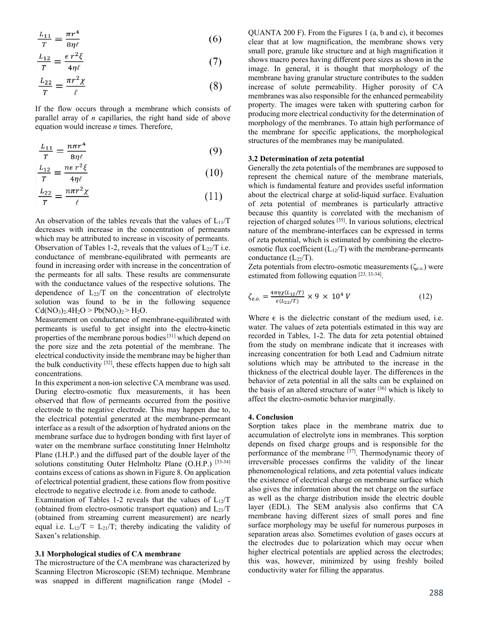$$
\frac{L_{11}}{T} = \frac{\pi r^4}{8\eta \ell} \tag{6}
$$

$$
\frac{L_{12}}{T} = \frac{\epsilon r^2 \xi}{4\eta \ell} \tag{7}
$$

$$
\frac{L_{22}}{T} = \frac{\pi r^2 \chi}{\ell} \tag{8}
$$

If the flow occurs through a membrane which consists of parallel array of *n* capillaries, the right hand side of above equation would increase *n* times. Therefore,

$$
\frac{L_{11}}{T} = \frac{n\pi r^4}{8\eta \ell} \tag{9}
$$

$$
\frac{L_{12}}{T} = \frac{n\epsilon r^2 \xi}{4\eta \ell} \tag{10}
$$

$$
\frac{L_{22}}{T} = \frac{n\pi r^2 \chi}{\ell} \tag{11}
$$

An observation of the tables reveals that the values of  $L_{11}/T$ decreases with increase in the concentration of permeants which may be attributed to increase in viscosity of permeants. Observation of Tables 1-2, reveals that the values of  $L_{22}/T$  i.e. conductance of membrane-equilibrated with permeants are found in increasing order with increase in the concentration of the permeants for all salts. These results are commensurate with the conductance values of the respective solutions. The dependence of  $L_{22}/T$  on the concentration of electrolyte solution was found to be in the following sequence  $Cd(NO<sub>3</sub>)<sub>2</sub>.4H<sub>2</sub>O > Pb(NO<sub>3</sub>)<sub>2</sub> > H<sub>2</sub>O.$ 

Measurement on conductance of membrane-equilibrated with permeants is useful to get insight into the electro-kinetic properties of the membrane porous bodies<sup>[31]</sup> which depend on the pore size and the zeta potential of the membrane. The electrical conductivity inside the membrane may be higher than the bulk conductivity  $[32]$ , these effects happen due to high salt concentrations.

In this experiment a non-ion selective CA membrane was used. During electro-osmotic flux measurements, it has been observed that flow of permeants occurred from the positive electrode to the negative electrode. This may happen due to, the electrical potential generated at the membrane-permeant interface as a result of the adsorption of hydrated anions on the membrane surface due to hydrogen bonding with first layer of water on the membrane surface constituting Inner Helmholtz Plane (I.H.P.) and the diffused part of the double layer of the solutions constituting Outer Helmholtz Plane (O.H.P.) [33-34] contains excess of cations as shown in Figure 8. On application of electrical potential gradient, these cations flow from positive electrode to negative electrode i.e. from anode to cathode.

Examination of Tables 1-2 reveals that the values of  $L_{12}/T$ (obtained from electro-osmotic transport equation) and  $L_{21}/T$ (obtained from streaming current measurement) are nearly equal i.e.  $L_{12}/T \approx L_{21}/T$ ; thereby indicating the validity of Saxen's relationship.

#### **3.1 Morphological studies of CA membrane**

The microstructure of the CA membrane was characterized by Scanning Electron Microscopic (SEM) technique. Membrane was snapped in different magnification range (Model -

QUANTA 200 F). From the Figures 1 (a, b and c), it becomes clear that at low magnification, the membrane shows very small pore, granule like structure and at high magnification it shows macro pores having different pore sizes as shown in the image. In general, it is thought that morphology of the membrane having granular structure contributes to the sudden increase of solute permeability. Higher porosity of CA membranes was also responsible for the enhanced permeability property. The images were taken with sputtering carbon for producing more electrical conductivity for the determination of morphology of the membranes. To attain high performance of the membrane for specific applications, the morphological structures of the membranes may be manipulated.

### **3.2 Determination of zeta potential**

Generally the zeta potentials of the membranes are supposed to represent the chemical nature of the membrane materials, which is fundamental feature and provides useful information about the electrical charge at solid-liquid surface. Evaluation of zeta potential of membranes is particularly attractive because this quantity is correlated with the mechanism of rejection of charged solutes [35]. In various solutions, electrical nature of the membrane-interfaces can be expressed in terms of zeta potential, which is estimated by combining the electroosmotic flux coefficient  $(L_{12}/T)$  with the membrane-permeants conductance  $(L_{22}/T)$ .

Zeta potentials from electro-osmotic measurements ( $\zeta_{e.o.}$ ) were estimated from following equation [23, 33-34].

$$
\zeta_{e.o.} = \frac{4\pi\eta\chi(L_{12}/T)}{\epsilon(L_{22}/T)} \times 9 \times 10^4 \text{ V}
$$
 (12)

Where  $\epsilon$  is the dielectric constant of the medium used, i.e. water. The values of zeta potentials estimated in this way are recorded in Tables, 1-2. The data for zeta potential obtained from the study on membrane indicate that it increases with increasing concentration for both Lead and Cadmium nitrate solutions which may be attributed to the increase in the thickness of the electrical double layer. The differences in the behavior of zeta potential in all the salts can be explained on the basis of an altered structure of water [36] which is likely to affect the electro-osmotic behavior marginally.

#### **4. Conclusion**

Sorption takes place in the membrane matrix due to accumulation of electrolyte ions in membranes. This sorption depends on fixed charge groups and is responsible for the performance of the membrane  $\left[37\right]$ . Thermodynamic theory of irreversible processes confirms the validity of the linear phenomenological relations, and zeta potential values indicate the existence of electrical charge on membrane surface which also gives the information about the net charge on the surface as well as the charge distribution inside the electric double layer (EDL). The SEM analysis also confirms that CA membrane having different sizes of small pores and fine surface morphology may be useful for numerous purposes in separation areas also. Sometimes evolution of gases occurs at the electrodes due to polarization which may occur when higher electrical potentials are applied across the electrodes; this was, however, minimized by using freshly boiled conductivity water for filling the apparatus.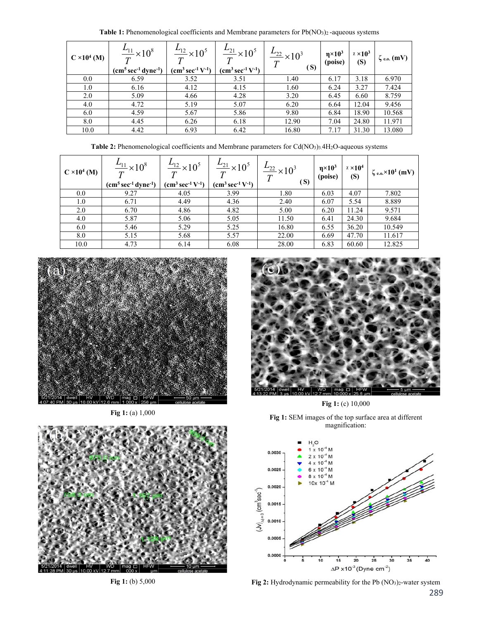Table 1: Phenomenological coefficients and Membrane parameters for Pb(NO<sub>3</sub>)<sub>2</sub>-aqueous systems

| $C \times 10^4$ (M) | $\frac{L_{11}}{T} \times 10^8$<br>$(cm5 sec-1 dyne-1)$ | $\frac{L_{12}}{2} \times 10^5$<br>$\tau$<br>$(cm3 sec-1 V-1)$ | $\frac{L_{21}}{2} \times 10^5$<br>$\bm{\tau}$<br>$(cm3 sec-1 V-1)$ | $\frac{L_{22}}{2} \times 10^3$<br>T<br>(S) | $\eta \times 10^3$<br>(poise) | $x \times 10^3$<br>(S) | $\zeta$ e.o. (mV) |
|---------------------|--------------------------------------------------------|---------------------------------------------------------------|--------------------------------------------------------------------|--------------------------------------------|-------------------------------|------------------------|-------------------|
| $0.0\,$             | 6.59                                                   | 3.52                                                          | 3.51                                                               | 1.40                                       | 6.17                          | 3.18                   | 6.970             |
| 1.0                 | 6.16                                                   | 4.12                                                          | 4.15                                                               | 1.60                                       | 6.24                          | 3.27                   | 7.424             |
| 2.0                 | 5.09                                                   | 4.66                                                          | 4.28                                                               | 3.20                                       | 6.45                          | 6.60                   | 8.759             |
| 4.0                 | 4.72                                                   | 5.19                                                          | 5.07                                                               | 6.20                                       | 6.64                          | 12.04                  | 9.456             |
| 6.0                 | 4.59                                                   | 5.67                                                          | 5.86                                                               | 9.80                                       | 6.84                          | 18.90                  | 10.568            |
| 8.0                 | 4.45                                                   | 6.26                                                          | 6.18                                                               | 12.90                                      | 7.04                          | 24.80                  | 11.971            |
| 10.0                | 4.42                                                   | 6.93                                                          | 6.42                                                               | 16.80                                      | 7.17                          | 31.30                  | 13.080            |

Table 2: Phenomenological coefficients and Membrane parameters for Cd(NO<sub>3</sub>)3.4H<sub>2</sub>O-aqueous systems

| $C \times 10^4$ (M) | $\frac{L_{11}}{2} \times 10^8$<br>$(cm5 sec-1 dyne-1)$ | $\frac{L_{12}}{2} \times 10^5$<br>$(cm3 sec-1 V-1)$ | $\frac{L_{21}}{2} \times 10^5$<br>$(cm3 sec-1 V-1)$ | $\frac{L_{22}}{2} \times 10^3$<br>(S) | $\eta \times 10^3$<br>(poise) | $x \times 10^4$<br>(S) | $\zeta_{e.o.} \times 10^1$ (mV) |
|---------------------|--------------------------------------------------------|-----------------------------------------------------|-----------------------------------------------------|---------------------------------------|-------------------------------|------------------------|---------------------------------|
| 0.0                 | 9.27                                                   | 4.05                                                | 3.99                                                | 1.80                                  | 6.03                          | 4.07                   | 7.802                           |
| 1.0                 | 6.71                                                   | 4.49                                                | 4.36                                                | 2.40                                  | 6.07                          | 5.54                   | 8.889                           |
| 2.0                 | 6.70                                                   | 4.86                                                | 4.82                                                | 5.00                                  | 6.20                          | 11.24                  | 9.571                           |
| 4.0                 | 5.87                                                   | 5.06                                                | 5.05                                                | 11.50                                 | 6.41                          | 24.30                  | 9.684                           |
| 6.0                 | 5.46                                                   | 5.29                                                | 5.25                                                | 16.80                                 | 6.55                          | 36.20                  | 10.549                          |
| 8.0                 | 5.15                                                   | 5.68                                                | 5.57                                                | 22.00                                 | 6.69                          | 47.70                  | 11.617                          |
| 10.0                | 4.73                                                   | 6.14                                                | 6.08                                                | 28.00                                 | 6.83                          | 60.60                  | 12.825                          |



**Fig 1:** (a) 1,000



**Fig 1:** (b) 5,000



**Fig 1:** (c) 10,000





289 Fig 2: Hydrodynamic permeability for the Pb (NO<sub>3</sub>)<sub>2</sub>-water system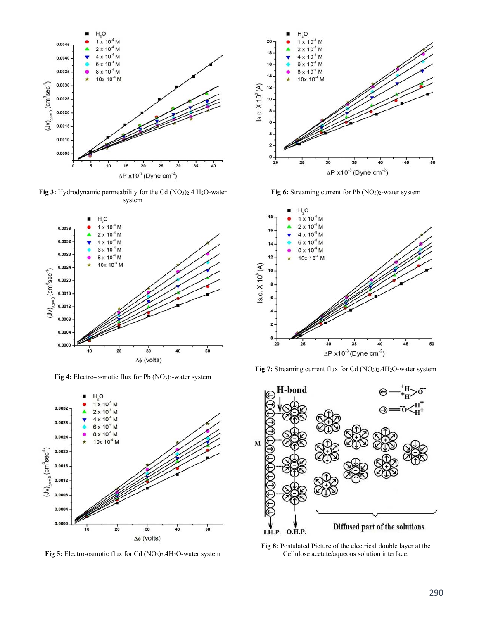

**Fig 3:** Hydrodynamic permeability for the Cd (NO3)2.4 H2O-water system



Fig 4: Electro-osmotic flux for Pb (NO<sub>3</sub>)<sub>2</sub>-water system



**Fig 5:** Electro-osmotic flux for Cd (NO3)2.4H2O-water system



Fig 6: Streaming current for Pb (NO<sub>3</sub>)<sub>2</sub>-water system







**Fig 8:** Postulated Picture of the electrical double layer at the Cellulose acetate/aqueous solution interface.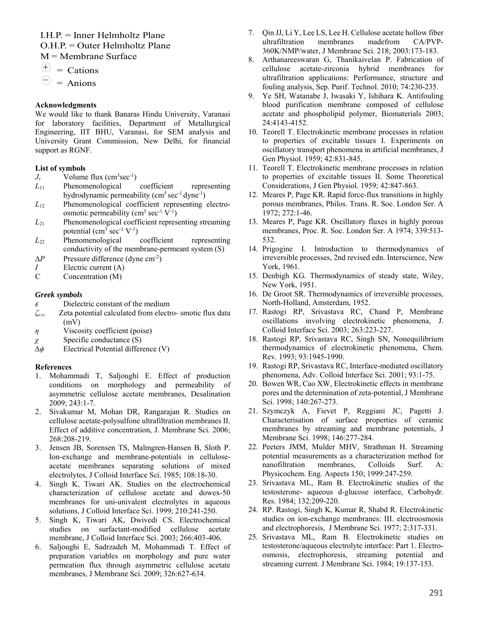I.H.P. = Inner Helmholtz Plane  $O.H.P. = Outer Helmholtz Plane$ M = Membrane Surface

 $\oplus$  = Cations

 $\bigcirc$  = Anions

# **Acknowledgments**

We would like to thank Banaras Hindu University, Varanasi for laboratory facilities, Department of Metallurgical Engineering, IIT BHU, Varanasi, for SEM analysis and University Grant Commission, New Delhi, for financial support as RGNF.

# **List of symbols**

- $J_v$  Volume flux (cm<sup>3</sup>sec<sup>-1</sup>)
- *L*11 Phenomenological coefficient representing hydrodynamic permeability  $(cm<sup>5</sup> sec<sup>-1</sup> dyne<sup>-1</sup>)$
- *L*12 Phenomenological coefficient representing electroosmotic permeability ( $\text{cm}^3 \text{ sec}^{-1} \text{ V}^{-1}$ )
- *L*21 Phenomenological coefficient representing streaming potential  $\text{(cm}^3 \text{ sec}^{-1} \text{ V}^{-1})$
- *L*22 Phenomenological coefficient representing conductivity of the membrane-permeant system (S)
- $\Delta P$  Pressure difference (dyne cm<sup>-2</sup>)
- *I* Electric current (A)<br>C Concentration (M)
- Concentration (M)

# *Greek symbols*

- $\epsilon$  Dielectric constant of the medium
- *ζe.o.* Zeta potential calculated from electro- smotic flux data (mV)
- *η* Viscosity coefficient (poise)
- *χ* Specific conductance (S)
- *∆ϕ* Electrical Potential difference (V)

# **References**

- 1. Mohammadi T, Saljoughi E. Effect of production conditions on morphology and permeability of asymmetric cellulose acetate membranes, Desalination 2009; 243:1-7.
- 2. Sivakumar M, Mohan DR, Rangarajan R. Studies on cellulose acetate-polysulfone ultrafiltration membranes II. Effect of additive concentration, J. Membrane Sci. 2006; 268:208-219.
- 3. Jensen JB, Sorensen TS, Malmgren-Hansen B, Sloth P. Ion-exchange and membrane-potentials in celluloseacetate membranes separating solutions of mixed electrolytes, J Colloid Interface Sci. 1985; 108:18-30.
- 4. Singh K, Tiwari AK. Studies on the electrochemical characterization of cellulose acetate and dowex-50 membranes for uni-univalent electrolytes in aqueous solutions, J Colloid Interface Sci. 1999; 210:241-250.
- 5. Singh K, Tiwari AK, Dwivedi CS. Electrochemical studies on surfactant-modified cellulose acetate membrane, J Colloid Interface Sci. 2003; 266:403-406.
- 6. Saljoughi E, Sadrzadeh M, Mohammadi T. Effect of preparation variables on morphology and pure water permeation flux through asymmetric cellulose acetate membranes, J Membrane Sci. 2009; 326:627-634.
- 7. Qin JJ, Li Y, Lee LS, Lee H. Cellulose acetate hollow fiber ultrafiltration membranes madefrom CA/PVP-360K/NMP/water, J Membrane Sci. 218; 2003:173-183.
- 8. Arthanareeswaran G, Thanikaivelan P. Fabrication of cellulose acetate-zirconia hybrid membranes for ultrafiltration applications: Performance, structure and fouling analysis, Sep. Purif. Technol. 2010; 74:230-235.
- 9. Ye SH, Watanabe J, Iwasaki Y, Ishihara K. Antifouling blood purification membrane composed of cellulose acetate and phospholipid polymer, Biomaterials 2003; 24:4143-4152.
- 10. Teorell T. Electrokinetic membrane processes in relation to properties of excitable tissues I. Experiments on oscillatory transport phenomena in artificial membranes, J Gen Physiol. 1959; 42:831-845.
- 11. Teorell T. Electrokinetic membrane processes in relation to properties of excitable tissues II. Some Theoretical Considerations, J Gen Physiol. 1959; 42:847-863.
- 12. Meares P, Page KR. Rapid force-flux transitions in highly porous membranes, Philos. Trans. R. Soc. London Ser. A 1972; 272:1-46.
- 13. Meares P, Page KR. Oscillatory fluxes in highly porous membranes, Proc. R. Soc. London Ser. A 1974; 339:513- 532.
- 14. Prigogine I. Introduction to thermodynamics of irreversible processes, 2nd revised edn. Interscience, New York, 1961.
- 15. Denbigh KG. Thermodynamics of steady state, Wiley, New York, 1951.
- 16. De Groot SR. Thermodynamics of irreversible processes, North-Holland, Amsterdam, 1952.
- 17. Rastogi RP, Srivastava RC, Chand P, Membrane oscillations involving electrokinetic phenomena, J. Colloid Interface Sci. 2003; 263:223-227.
- 18. Rastogi RP, Srivastava RC, Singh SN, Nonequilibrium thermodynamics of electrokinetic phenomena, Chem. Rev. 1993; 93:1945-1990.
- 19. Rastogi RP, Srivastava RC, Interface-mediated oscillatory phenomena, Adv. Colloid Interface Sci. 2001; 93:1-75.
- 20. Bowen WR, Cao XW, Electrokinetic effects in membrane pores and the determination of zeta-potential, J Membrane Sci. 1998; 140:267-273.
- 21. Szymczyk A, Fievet P, Reggiani JC, Pagetti J. Characterisation of surface properties of ceramic membranes by streaming and membrane potentials, J Membrane Sci. 1998; 146:277-284.
- 22. Peeters JMM, Mulder MHV, Strathman H. Streaming potential measurements as a characterization method for nanofiltration membranes, Colloids Surf. A: Physicochem. Eng. Aspects 150; 1999:247-259.
- 23. Srivastava ML, Ram B. Electrokinetic studies of the testosterone- aqueous d-glucose interface, Carbohydr. Res. 1984; 132:209-220.
- 24. RP. Rastogi, Singh K, Kumar R, Shabd R. Electrokinetic studies on ion-exchange membranes: III. electroosmosis and electrophoresis, J Membrane Sci. 1977; 2:317-331.
- 25. Srivastava ML, Ram B. Electrokinetic studies on testosterone/aqueous electrolyte interface: Part 1. Electroosmosis, electrophoresis, streaming potential and streaming current. J Membrane Sci. 1984; 19:137-153.